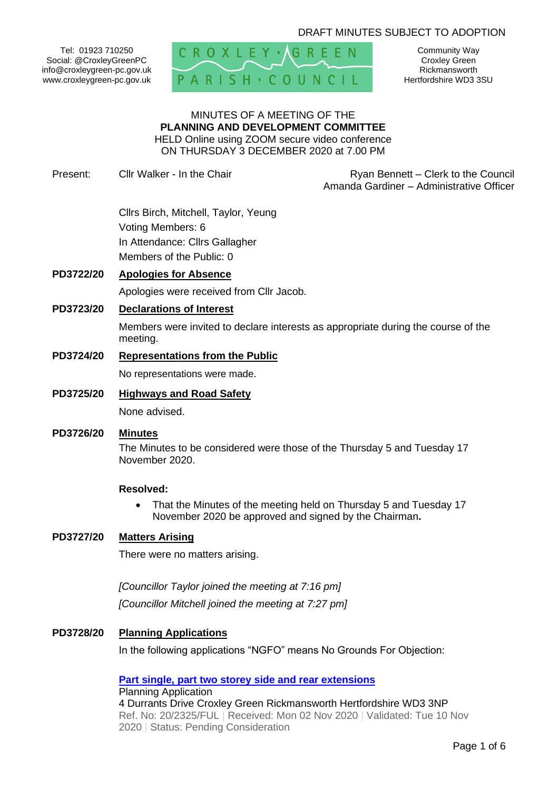# DRAFT MINUTES SUBJECT TO ADOPTION

Tel: 01923 710250 Social: @CroxleyGreenPC info@croxleygreen-pc.gov.uk www.croxleygreen-pc.gov.uk



Community Way Croxley Green Rickmansworth Hertfordshire WD3 3SU

#### MINUTES OF A MEETING OF THE **PLANNING AND DEVELOPMENT COMMITTEE** HELD Online using ZOOM secure video conference ON THURSDAY 3 DECEMBER 2020 at 7.00 PM

Present: Cllr Walker - In the Chair **Ryan Bennett** – Clerk to the Council Amanda Gardiner – Administrative Officer

> Cllrs Birch, Mitchell, Taylor, Yeung Voting Members: 6 In Attendance: Cllrs Gallagher Members of the Public: 0

## **PD3722/20 Apologies for Absence**

Apologies were received from Cllr Jacob.

#### **PD3723/20 Declarations of Interest**

Members were invited to declare interests as appropriate during the course of the meeting.

#### **PD3724/20 Representations from the Public**

No representations were made.

### **PD3725/20 Highways and Road Safety**

None advised.

#### **PD3726/20 Minutes**

The Minutes to be considered were those of the Thursday 5 and Tuesday 17 November 2020.

#### **Resolved:**

• That the Minutes of the meeting held on Thursday 5 and Tuesday 17 November 2020 be approved and signed by the Chairman**.**

## **PD3727/20 Matters Arising**

There were no matters arising.

*[Councillor Taylor joined the meeting at 7:16 pm] [Councillor Mitchell joined the meeting at 7:27 pm]*

## **PD3728/20 Planning Applications**

In the following applications "NGFO" means No Grounds For Objection:

**[Part single, part two storey side and rear extensions](https://www3.threerivers.gov.uk/online-applications/applicationDetails.do?activeTab=summary&keyVal=QJ5XVMQF0D100&prevPage=inTray)** Planning Application 4 Durrants Drive Croxley Green Rickmansworth Hertfordshire WD3 3NP Ref. No: 20/2325/FUL | Received: Mon 02 Nov 2020 | Validated: Tue 10 Nov 2020 | Status: Pending Consideration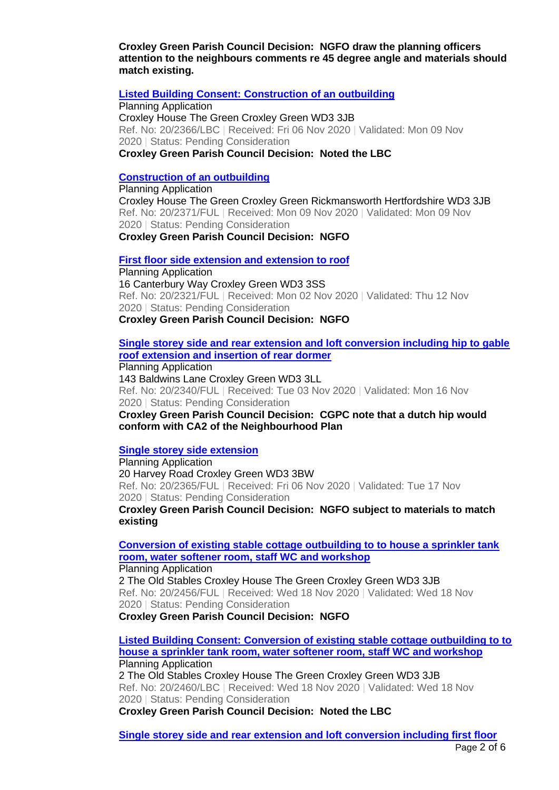**Croxley Green Parish Council Decision: NGFO draw the planning officers attention to the neighbours comments re 45 degree angle and materials should match existing.**

#### **[Listed Building Consent: Construction of an outbuilding](https://www3.threerivers.gov.uk/online-applications/applicationDetails.do?activeTab=summary&keyVal=QJDIRFQFL4H00&prevPage=inTray)**

Planning Application Croxley House The Green Croxley Green WD3 3JB Ref. No: 20/2366/LBC | Received: Fri 06 Nov 2020 | Validated: Mon 09 Nov 2020 | Status: Pending Consideration **Croxley Green Parish Council Decision: Noted the LBC**

#### **[Construction of an outbuilding](https://www3.threerivers.gov.uk/online-applications/applicationDetails.do?activeTab=summary&keyVal=QJF29GQFL4M00&prevPage=inTray)**

Planning Application Croxley House The Green Croxley Green Rickmansworth Hertfordshire WD3 3JB Ref. No: 20/2371/FUL | Received: Mon 09 Nov 2020 | Validated: Mon 09 Nov 2020 | Status: Pending Consideration **Croxley Green Parish Council Decision: NGFO**

#### **[First floor side extension and extension to roof](https://www3.threerivers.gov.uk/online-applications/applicationDetails.do?activeTab=summary&keyVal=QJ5T46QFL2K00&prevPage=inTray)**

Planning Application 16 Canterbury Way Croxley Green WD3 3SS Ref. No: 20/2321/FUL | Received: Mon 02 Nov 2020 | Validated: Thu 12 Nov 2020 | Status: Pending Consideration **Croxley Green Parish Council Decision: NGFO**

## **[Single storey side and rear extension and loft conversion including hip to gable](https://www3.threerivers.gov.uk/online-applications/applicationDetails.do?activeTab=summary&keyVal=QJ7YQ3QFL3400&prevPage=inTray)  [roof extension and insertion of rear dormer](https://www3.threerivers.gov.uk/online-applications/applicationDetails.do?activeTab=summary&keyVal=QJ7YQ3QFL3400&prevPage=inTray)**

Planning Application 143 Baldwins Lane Croxley Green WD3 3LL Ref. No: 20/2340/FUL | Received: Tue 03 Nov 2020 | Validated: Mon 16 Nov 2020 | Status: Pending Consideration **Croxley Green Parish Council Decision: CGPC note that a dutch hip would conform with CA2 of the Neighbourhood Plan**

## **[Single storey side extension](https://www3.threerivers.gov.uk/online-applications/applicationDetails.do?activeTab=summary&keyVal=QJDIR3QFL4F00&prevPage=inTray)**

Planning Application 20 Harvey Road Croxley Green WD3 3BW Ref. No: 20/2365/FUL | Received: Fri 06 Nov 2020 | Validated: Tue 17 Nov 2020 | Status: Pending Consideration

**Croxley Green Parish Council Decision: NGFO subject to materials to match existing**

**[Conversion of existing stable cottage outbuilding to to house a sprinkler tank](https://www3.threerivers.gov.uk/online-applications/applicationDetails.do?activeTab=summary&keyVal=QJZFMDQFL9B00&prevPage=inTray)  [room, water softener room, staff WC and workshop](https://www3.threerivers.gov.uk/online-applications/applicationDetails.do?activeTab=summary&keyVal=QJZFMDQFL9B00&prevPage=inTray)**

Planning Application

2 The Old Stables Croxley House The Green Croxley Green WD3 3JB Ref. No: 20/2456/FUL | Received: Wed 18 Nov 2020 | Validated: Wed 18 Nov 2020 | Status: Pending Consideration

**Croxley Green Parish Council Decision: NGFO**

**[Listed Building Consent: Conversion of existing stable cottage outbuilding to to](https://www3.threerivers.gov.uk/online-applications/applicationDetails.do?activeTab=summary&keyVal=QJZFPMQFL9K00&prevPage=inTray)  [house a sprinkler tank room, water softener room, staff WC and workshop](https://www3.threerivers.gov.uk/online-applications/applicationDetails.do?activeTab=summary&keyVal=QJZFPMQFL9K00&prevPage=inTray)** Planning Application 2 The Old Stables Croxley House The Green Croxley Green WD3 3JB

Ref. No: 20/2460/LBC | Received: Wed 18 Nov 2020 | Validated: Wed 18 Nov 2020 | Status: Pending Consideration

**Croxley Green Parish Council Decision: Noted the LBC**

**[Single storey side and rear extension and loft conversion including first floor](https://www3.threerivers.gov.uk/online-applications/applicationDetails.do?activeTab=summary&keyVal=QJGWY1QFL5800&prevPage=inTray)**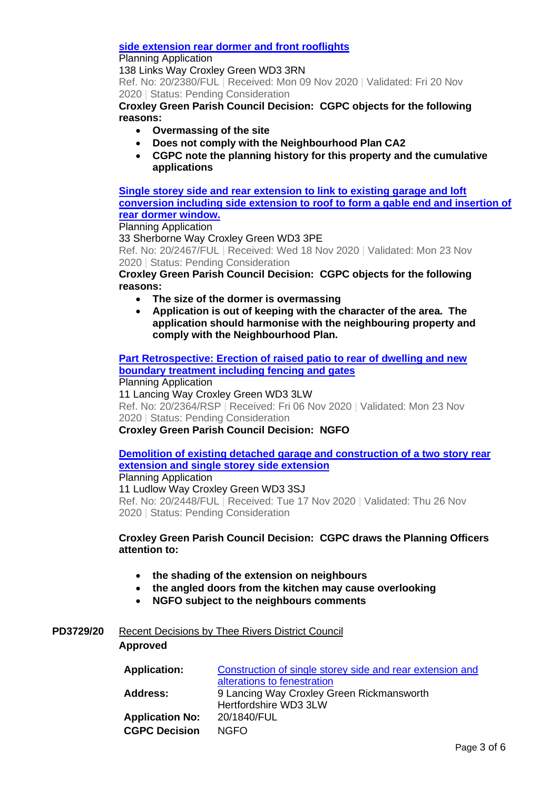### **[side extension rear dormer and front rooflights](https://www3.threerivers.gov.uk/online-applications/applicationDetails.do?activeTab=summary&keyVal=QJGWY1QFL5800&prevPage=inTray)**

### Planning Application

138 Links Way Croxley Green WD3 3RN

Ref. No: 20/2380/FUL | Received: Mon 09 Nov 2020 | Validated: Fri 20 Nov 2020 | Status: Pending Consideration

**Croxley Green Parish Council Decision: CGPC objects for the following reasons:**

- **Overmassing of the site**
- **Does not comply with the Neighbourhood Plan CA2**
- **CGPC note the planning history for this property and the cumulative applications**

**[Single storey side and rear extension to link to existing garage and loft](https://www3.threerivers.gov.uk/online-applications/applicationDetails.do?activeTab=summary&keyVal=QJZQQUQFL9X00&prevPage=inTray)  [conversion including side extension to roof to form a gable end and insertion of](https://www3.threerivers.gov.uk/online-applications/applicationDetails.do?activeTab=summary&keyVal=QJZQQUQFL9X00&prevPage=inTray)  [rear dormer window.](https://www3.threerivers.gov.uk/online-applications/applicationDetails.do?activeTab=summary&keyVal=QJZQQUQFL9X00&prevPage=inTray)**

Planning Application

33 Sherborne Way Croxley Green WD3 3PE Ref. No: 20/2467/FUL | Received: Wed 18 Nov 2020 | Validated: Mon 23 Nov 2020 | Status: Pending Consideration

# **Croxley Green Parish Council Decision: CGPC objects for the following reasons:**

- **The size of the dormer is overmassing**
- **Application is out of keeping with the character of the area. The application should harmonise with the neighbouring property and comply with the Neighbourhood Plan.**

**[Part Retrospective: Erection of raised patio to rear of dwelling and new](https://www3.threerivers.gov.uk/online-applications/applicationDetails.do?activeTab=summary&keyVal=QJDIQVQFL4D00&prevPage=inTray)  boundary [treatment including fencing and gates](https://www3.threerivers.gov.uk/online-applications/applicationDetails.do?activeTab=summary&keyVal=QJDIQVQFL4D00&prevPage=inTray)**

Planning Application 11 Lancing Way Croxley Green WD3 3LW Ref. No: 20/2364/RSP | Received: Fri 06 Nov 2020 | Validated: Mon 23 Nov 2020 | Status: Pending Consideration **Croxley Green Parish Council Decision: NGFO**

**[Demolition of existing detached garage and construction of a two story rear](https://www3.threerivers.gov.uk/online-applications/applicationDetails.do?activeTab=summary&keyVal=QJXKY5QFL8S00&prevPage=inTray)  [extension and single storey side extension](https://www3.threerivers.gov.uk/online-applications/applicationDetails.do?activeTab=summary&keyVal=QJXKY5QFL8S00&prevPage=inTray)**

Planning Application 11 Ludlow Way Croxley Green WD3 3SJ Ref. No: 20/2448/FUL | Received: Tue 17 Nov 2020 | Validated: Thu 26 Nov 2020 | Status: Pending Consideration

# **Croxley Green Parish Council Decision: CGPC draws the Planning Officers attention to:**

- **the shading of the extension on neighbours**
- **the angled doors from the kitchen may cause overlooking**
- **NGFO subject to the neighbours comments**

# **PD3729/20** Recent Decisions by Thee Rivers District Council

# **Approved**

| <b>Application:</b>    | Construction of single storey side and rear extension and |
|------------------------|-----------------------------------------------------------|
|                        | alterations to fenestration                               |
| <b>Address:</b>        | 9 Lancing Way Croxley Green Rickmansworth                 |
|                        | Hertfordshire WD3 3LW                                     |
| <b>Application No:</b> | 20/1840/FUL                                               |
| <b>CGPC Decision</b>   | NGFO.                                                     |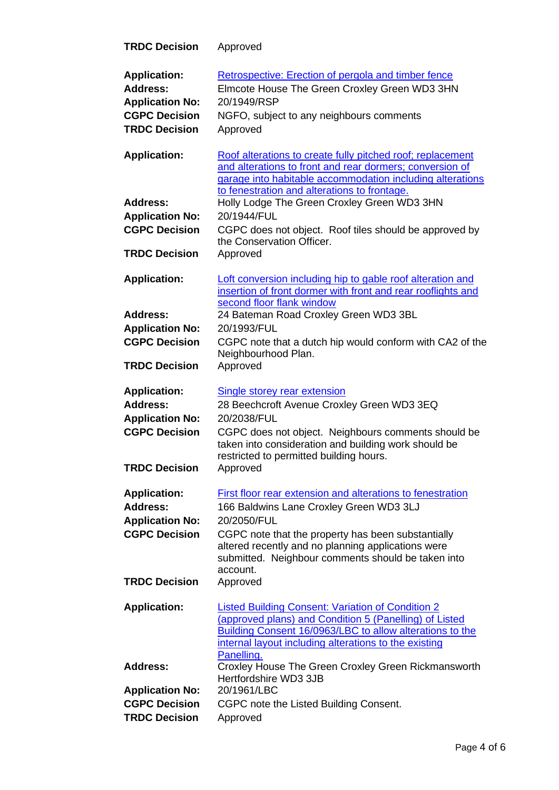| <b>TRDC Decision</b>                                                                                             | Approved                                                                                                                                                                                                                                                                                                       |
|------------------------------------------------------------------------------------------------------------------|----------------------------------------------------------------------------------------------------------------------------------------------------------------------------------------------------------------------------------------------------------------------------------------------------------------|
| <b>Application:</b><br><b>Address:</b><br><b>Application No:</b><br><b>CGPC Decision</b><br><b>TRDC Decision</b> | Retrospective: Erection of pergola and timber fence<br>Elmcote House The Green Croxley Green WD3 3HN<br>20/1949/RSP<br>NGFO, subject to any neighbours comments<br>Approved                                                                                                                                    |
| <b>Application:</b>                                                                                              | Roof alterations to create fully pitched roof; replacement<br>and alterations to front and rear dormers; conversion of<br>garage into habitable accommodation including alterations                                                                                                                            |
| <b>Address:</b><br><b>Application No:</b><br><b>CGPC Decision</b><br><b>TRDC Decision</b>                        | to fenestration and alterations to frontage.<br>Holly Lodge The Green Croxley Green WD3 3HN<br>20/1944/FUL<br>CGPC does not object. Roof tiles should be approved by<br>the Conservation Officer.<br>Approved                                                                                                  |
| <b>Application:</b>                                                                                              | Loft conversion including hip to gable roof alteration and<br>insertion of front dormer with front and rear rooflights and                                                                                                                                                                                     |
| <b>Address:</b><br><b>Application No:</b><br><b>CGPC Decision</b><br><b>TRDC Decision</b>                        | second floor flank window<br>24 Bateman Road Croxley Green WD3 3BL<br>20/1993/FUL<br>CGPC note that a dutch hip would conform with CA2 of the<br>Neighbourhood Plan.<br>Approved                                                                                                                               |
| <b>Application:</b><br><b>Address:</b><br><b>Application No:</b><br><b>CGPC Decision</b><br><b>TRDC Decision</b> | <b>Single storey rear extension</b><br>28 Beechcroft Avenue Croxley Green WD3 3EQ<br>20/2038/FUL<br>CGPC does not object. Neighbours comments should be<br>taken into consideration and building work should be<br>restricted to permitted building hours.<br>Approved                                         |
| <b>Application:</b><br><b>Address:</b><br><b>Application No:</b><br><b>CGPC Decision</b><br><b>TRDC Decision</b> | First floor rear extension and alterations to fenestration<br>166 Baldwins Lane Croxley Green WD3 3LJ<br>20/2050/FUL<br>CGPC note that the property has been substantially<br>altered recently and no planning applications were<br>submitted. Neighbour comments should be taken into<br>account.<br>Approved |
| <b>Application:</b>                                                                                              | <b>Listed Building Consent: Variation of Condition 2</b><br>(approved plans) and Condition 5 (Panelling) of Listed<br>Building Consent 16/0963/LBC to allow alterations to the<br>internal layout including alterations to the existing<br>Panelling.                                                          |
| <b>Address:</b>                                                                                                  | Croxley House The Green Croxley Green Rickmansworth<br>Hertfordshire WD3 3JB                                                                                                                                                                                                                                   |
| <b>Application No:</b><br><b>CGPC Decision</b><br><b>TRDC Decision</b>                                           | 20/1961/LBC<br>CGPC note the Listed Building Consent.<br>Approved                                                                                                                                                                                                                                              |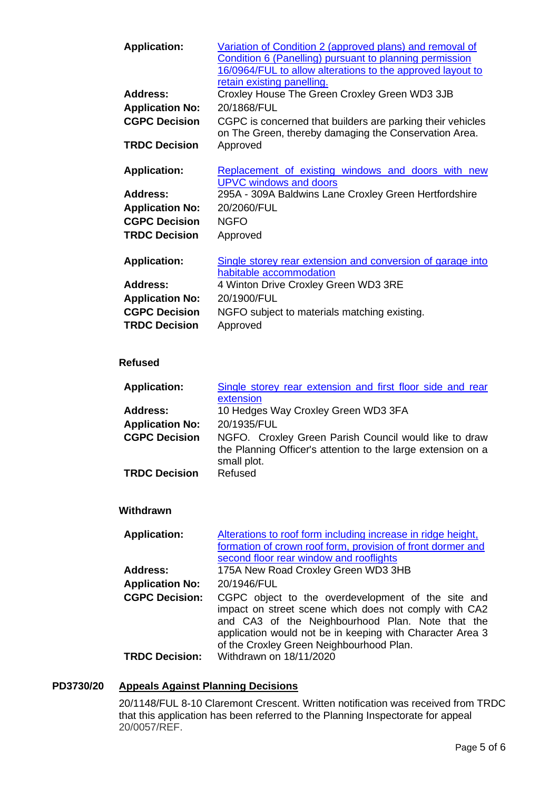| <b>Application:</b>    | Variation of Condition 2 (approved plans) and removal of<br>Condition 6 (Panelling) pursuant to planning permission<br>16/0964/FUL to allow alterations to the approved layout to |
|------------------------|-----------------------------------------------------------------------------------------------------------------------------------------------------------------------------------|
|                        | retain existing panelling.                                                                                                                                                        |
| Address:               | Croxley House The Green Croxley Green WD3 3JB                                                                                                                                     |
| <b>Application No:</b> | 20/1868/FUL                                                                                                                                                                       |
| <b>CGPC Decision</b>   | CGPC is concerned that builders are parking their vehicles<br>on The Green, thereby damaging the Conservation Area.                                                               |
| <b>TRDC Decision</b>   | Approved                                                                                                                                                                          |
|                        |                                                                                                                                                                                   |
| <b>Application:</b>    | Replacement of existing windows and doors with new<br><b>UPVC windows and doors</b>                                                                                               |
| Address:               | 295A - 309A Baldwins Lane Croxley Green Hertfordshire                                                                                                                             |
| <b>Application No:</b> | 20/2060/FUL                                                                                                                                                                       |
| <b>CGPC Decision</b>   | <b>NGFO</b>                                                                                                                                                                       |
| <b>TRDC Decision</b>   | Approved                                                                                                                                                                          |
|                        |                                                                                                                                                                                   |
| <b>Application:</b>    | Single storey rear extension and conversion of garage into                                                                                                                        |
|                        | habitable accommodation                                                                                                                                                           |
| <b>Address:</b>        | 4 Winton Drive Croxley Green WD3 3RE                                                                                                                                              |
| <b>Application No:</b> | 20/1900/FUL                                                                                                                                                                       |
| <b>CGPC Decision</b>   | NGFO subject to materials matching existing.                                                                                                                                      |
| <b>TRDC Decision</b>   | Approved                                                                                                                                                                          |

# **Refused**

| <b>Application:</b>    | Single storey rear extension and first floor side and rear                                                                           |
|------------------------|--------------------------------------------------------------------------------------------------------------------------------------|
|                        | extension                                                                                                                            |
| <b>Address:</b>        | 10 Hedges Way Croxley Green WD3 3FA                                                                                                  |
| <b>Application No:</b> | 20/1935/FUL                                                                                                                          |
| <b>CGPC Decision</b>   | NGFO. Croxley Green Parish Council would like to draw<br>the Planning Officer's attention to the large extension on a<br>small plot. |
| <b>TRDC Decision</b>   | Refused                                                                                                                              |

# **Withdrawn**

| <b>Application:</b>    | Alterations to roof form including increase in ridge height,                                                                                                                                                                                                             |
|------------------------|--------------------------------------------------------------------------------------------------------------------------------------------------------------------------------------------------------------------------------------------------------------------------|
|                        | formation of crown roof form, provision of front dormer and                                                                                                                                                                                                              |
|                        | second floor rear window and rooflights                                                                                                                                                                                                                                  |
| Address:               | 175A New Road Croxley Green WD3 3HB                                                                                                                                                                                                                                      |
| <b>Application No:</b> | 20/1946/FUL                                                                                                                                                                                                                                                              |
| <b>CGPC Decision:</b>  | CGPC object to the overdevelopment of the site and<br>impact on street scene which does not comply with CA2<br>and CA3 of the Neighbourhood Plan. Note that the<br>application would not be in keeping with Character Area 3<br>of the Croxley Green Neighbourhood Plan. |
| <b>TRDC Decision:</b>  | Withdrawn on 18/11/2020                                                                                                                                                                                                                                                  |

# **PD3730/20 Appeals Against Planning Decisions**

20/1148/FUL 8-10 Claremont Crescent. Written notification was received from TRDC that this application has been referred to the Planning Inspectorate for appeal 20/0057/REF.